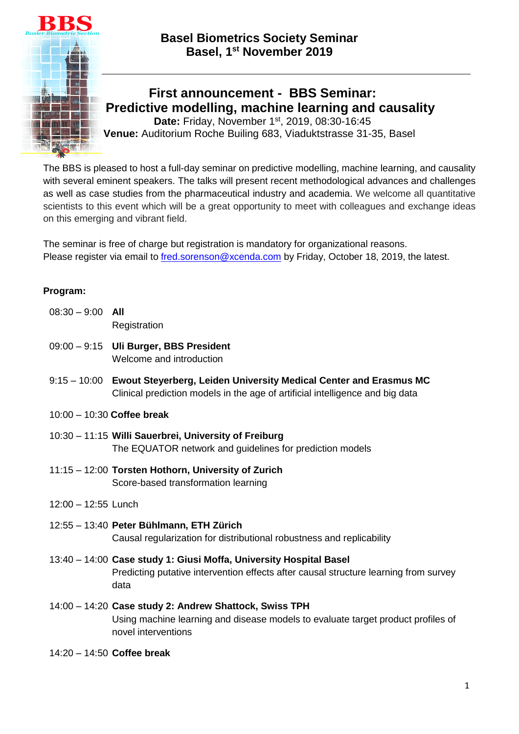



## **First announcement - BBS Seminar: Predictive modelling, machine learning and causality** Date: Friday, November 1<sup>st</sup>, 2019, 08:30-16:45

**Venue:** Auditorium Roche Builing 683, Viaduktstrasse 31-35, Basel

The BBS is pleased to host a full-day seminar on predictive modelling, machine learning, and causality with several eminent speakers. The talks will present recent methodological advances and challenges as well as case studies from the pharmaceutical industry and academia. We welcome all quantitative scientists to this event which will be a great opportunity to meet with colleagues and exchange ideas on this emerging and vibrant field.

The seminar is free of charge but registration is mandatory for organizational reasons. Please register via email to [fred.sorenson@xcenda.com](mailto:fred.sorenson@xcenda.com) by Friday, October 18, 2019, the latest.

## **Program:**

| $08:30 - 9:00$ All |                                        |
|--------------------|----------------------------------------|
|                    | Registration                           |
|                    | 09:00 - 9:15 Uli Burger, BBS President |

Welcome and introduction

- 9:15 10:00 **Ewout Steyerberg, Leiden University Medical Center and Erasmus MC**  Clinical prediction models in the age of artificial intelligence and big data
- 10:00 10:30 **Coffee break**
- 10:30 11:15 **Willi Sauerbrei, University of Freiburg** The EQUATOR network and guidelines for prediction models
- 11:15 12:00 **Torsten Hothorn, University of Zurich**  Score-based transformation learning
- 12:00 12:55 Lunch
- 12:55 13:40 **Peter Bühlmann, ETH Zürich**  Causal regularization for distributional robustness and replicability
- 13:40 14:00 **Case study 1: Giusi Moffa, University Hospital Basel**  Predicting putative intervention effects after causal structure learning from survey data
- 14:00 14:20 **Case study 2: Andrew Shattock, Swiss TPH**  Using machine learning and disease models to evaluate target product profiles of novel interventions
- 14:20 14:50 **Coffee break**